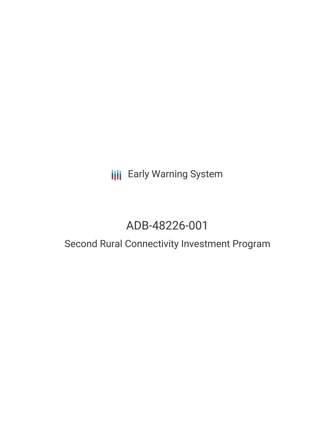## **III** Early Warning System

# ADB-48226-001

### Second Rural Connectivity Investment Program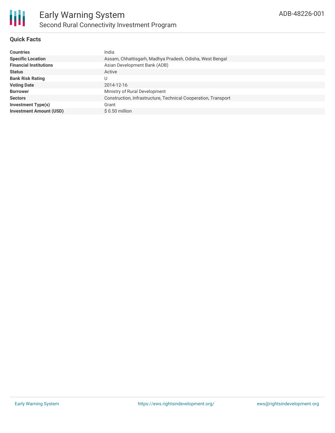

#### **Quick Facts**

| <b>Countries</b>               | India                                                          |
|--------------------------------|----------------------------------------------------------------|
| <b>Specific Location</b>       | Assam, Chhattisgarh, Madhya Pradesh, Odisha, West Bengal       |
| <b>Financial Institutions</b>  | Asian Development Bank (ADB)                                   |
| <b>Status</b>                  | Active                                                         |
| <b>Bank Risk Rating</b>        |                                                                |
| <b>Voting Date</b>             | 2014-12-16                                                     |
| <b>Borrower</b>                | Ministry of Rural Development                                  |
| <b>Sectors</b>                 | Construction, Infrastructure, Technical Cooperation, Transport |
| Investment Type(s)             | Grant                                                          |
| <b>Investment Amount (USD)</b> | $$0.50$ million                                                |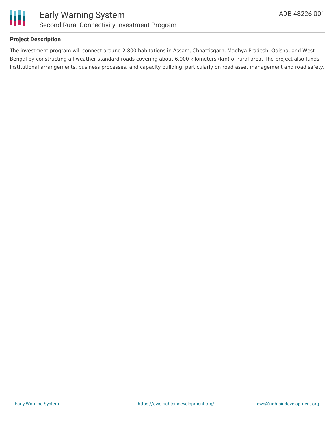

#### **Project Description**

The investment program will connect around 2,800 habitations in Assam, Chhattisgarh, Madhya Pradesh, Odisha, and West Bengal by constructing all-weather standard roads covering about 6,000 kilometers (km) of rural area. The project also funds institutional arrangements, business processes, and capacity building, particularly on road asset management and road safety.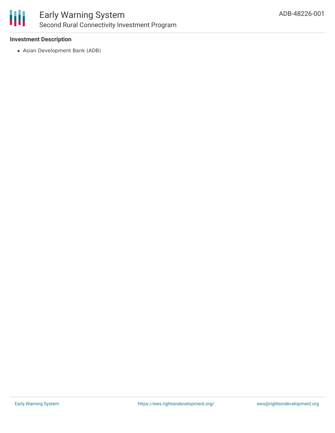

#### **Investment Description**

Asian Development Bank (ADB)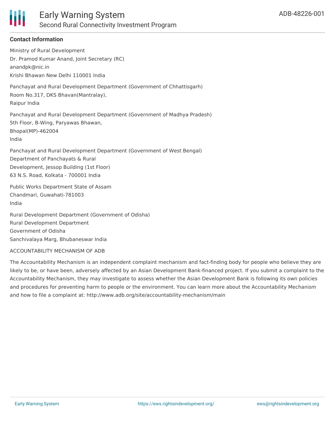

#### **Contact Information**

Ministry of Rural Development Dr. Pramod Kumar Anand, Joint Secretary (RC) anandpk@nic.in Krishi Bhawan New Delhi 110001 India Panchayat and Rural Development Department (Government of Chhattisgarh) Room No.317, DKS Bhavan(Mantralay), Raipur India Panchayat and Rural Development Department (Government of Madhya Pradesh) 5th Floor, B-Wing, Paryawas Bhawan, Bhopal(MP)-462004 India Panchayat and Rural Development Department (Government of West Bengal) Department of Panchayats & Rural Development, Jessop Building (1st Floor) 63 N.S. Road, Kolkata - 700001 India

Public Works Department State of Assam Chandmari, Guwahati-781003 India

Rural Development Department (Government of Odisha) Rural Development Department Government of Odisha Sanchivalaya Marg, Bhubaneswar India

#### ACCOUNTABILITY MECHANISM OF ADB

The Accountability Mechanism is an independent complaint mechanism and fact-finding body for people who believe they are likely to be, or have been, adversely affected by an Asian Development Bank-financed project. If you submit a complaint to the Accountability Mechanism, they may investigate to assess whether the Asian Development Bank is following its own policies and procedures for preventing harm to people or the environment. You can learn more about the Accountability Mechanism and how to file a complaint at: http://www.adb.org/site/accountability-mechanism/main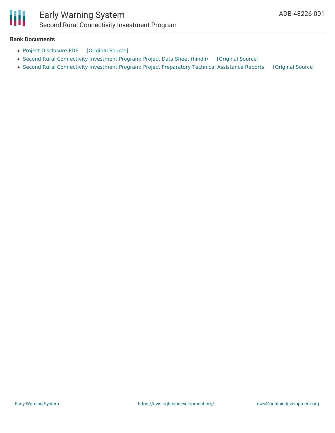

### Early Warning System Second Rural Connectivity Investment Program

#### **Bank Documents**

- Project [Disclosure](https://ewsdata.rightsindevelopment.org/files/documents/01/ADB-48226-001.pdf) PDF [\[Original](https://www.adb.org/printpdf/projects/48226-001/main) Source]
- Second Rural [Connectivity](https://ewsdata.rightsindevelopment.org/files/documents/01/ADB-48226-001_IYt8rPa.pdf) Investment Program: Project Data Sheet (hindii) [\[Original](https://www.adb.org/hi/projects/documents/48226-001-project-data-sheet) Source]
- Second Rural [Connectivity](https://ewsdata.rightsindevelopment.org/files/documents/01/ADB-48226-001_OCqMwPa.pdf) Investment Program: Project Preparatory Technical Assistance Reports [\[Original](https://www.adb.org/projects/documents/second-rural-connectivity-investment-program-india-pptar) Source]